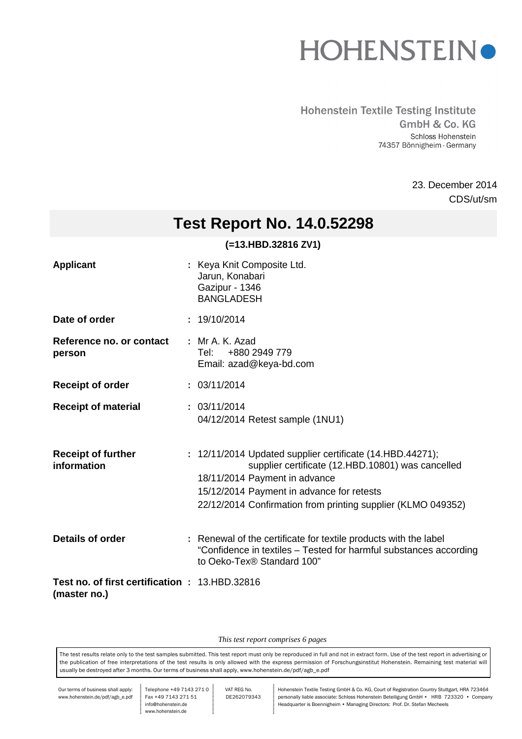

#### **Hohenstein Textile Testing Institute** GmbH & Co. KG Schloss Hohenstein 74357 Bönnigheim · Germany

CDS/ut/sm 23. December 2014

## **Test Report No. 14.0.52298**

### **(=13.HBD.32816 ZV1)**

| <b>Applicant</b>                                                      | : Keya Knit Composite Ltd.<br>Jarun, Konabari<br>Gazipur - 1346<br><b>BANGLADESH</b>                                                                                                                                                                         |
|-----------------------------------------------------------------------|--------------------------------------------------------------------------------------------------------------------------------------------------------------------------------------------------------------------------------------------------------------|
| Date of order                                                         | : 19/10/2014                                                                                                                                                                                                                                                 |
| Reference no. or contact<br>person                                    | : Mr A, K, Azad<br>+880 2949 779<br>Tel: I<br>Email: azad@keya-bd.com                                                                                                                                                                                        |
| <b>Receipt of order</b>                                               | : 03/11/2014                                                                                                                                                                                                                                                 |
| <b>Receipt of material</b>                                            | : 03/11/2014<br>04/12/2014 Retest sample (1NU1)                                                                                                                                                                                                              |
| <b>Receipt of further</b><br>information                              | : 12/11/2014 Updated supplier certificate (14.HBD.44271);<br>supplier certificate (12.HBD.10801) was cancelled<br>18/11/2014 Payment in advance<br>15/12/2014 Payment in advance for retests<br>22/12/2014 Confirmation from printing supplier (KLMO 049352) |
| <b>Details of order</b>                                               | : Renewal of the certificate for textile products with the label<br>"Confidence in textiles – Tested for harmful substances according<br>to Oeko-Tex® Standard 100"                                                                                          |
| <b>Test no. of first certification : 13.HBD.32816</b><br>(master no.) |                                                                                                                                                                                                                                                              |

*This test report comprises 6 pages*

The test results relate only to the test samples submitted. This test report must only be reproduced in full and not in extract form. Use of the test report in advertising or the publication of free interpretations of the test results is only allowed with the express permission of Forschungsinstitut Hohenstein. Remaining test material will usually be destroyed after 3 months. Our terms of business shall apply, www.hohenstein.de/pdf/agb\_e.pdf

Our terms of business shall apply: www.hohenstein.de/pdf/agb\_e.pdf Telephone +49 7143 271 0 Fax +49 7143 271 51 info@hohenstein.de www.hohenstein.de

 VAT REG No. DE262079343

Hohenstein Textile Testing GmbH & Co. KG, Court of Registration Country Stuttgart, HRA 723464 personally liable associate: Schloss Hohenstein Beteiligung GmbH • HRB 723320 • Company Headquarter is Boennigheim • Managing Directors: Prof. Dr. Stefan Mecheels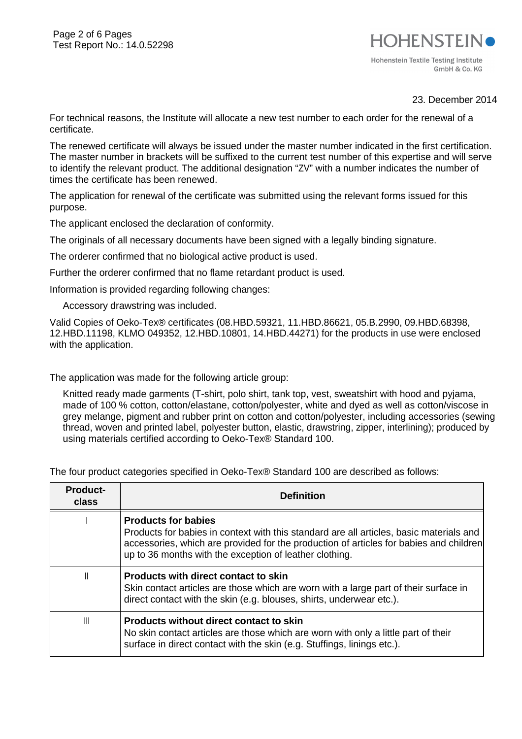## **HOHENSTEIN** Hohenstein Textile Testing Institute GmbH & Co. KG

23. December 2014

For technical reasons, the Institute will allocate a new test number to each order for the renewal of a certificate.

The renewed certificate will always be issued under the master number indicated in the first certification. The master number in brackets will be suffixed to the current test number of this expertise and will serve to identify the relevant product. The additional designation "ZV" with a number indicates the number of times the certificate has been renewed.

The application for renewal of the certificate was submitted using the relevant forms issued for this purpose.

The applicant enclosed the declaration of conformity.

The originals of all necessary documents have been signed with a legally binding signature.

The orderer confirmed that no biological active product is used.

Further the orderer confirmed that no flame retardant product is used.

Information is provided regarding following changes:

Accessory drawstring was included.

Valid Copies of Oeko-Tex® certificates (08.HBD.59321, 11.HBD.86621, 05.B.2990, 09.HBD.68398, 12.HBD.11198, KLMO 049352, 12.HBD.10801, 14.HBD.44271) for the products in use were enclosed with the application.

The application was made for the following article group:

Knitted ready made garments (T-shirt, polo shirt, tank top, vest, sweatshirt with hood and pyjama, made of 100 % cotton, cotton/elastane, cotton/polyester, white and dyed as well as cotton/viscose in grey melange, pigment and rubber print on cotton and cotton/polyester, including accessories (sewing thread, woven and printed label, polyester button, elastic, drawstring, zipper, interlining); produced by using materials certified according to Oeko-Tex® Standard 100.

The four product categories specified in Oeko-Tex® Standard 100 are described as follows:

| <b>Product-</b><br>class | <b>Definition</b>                                                                                                                                                                                                                                                          |
|--------------------------|----------------------------------------------------------------------------------------------------------------------------------------------------------------------------------------------------------------------------------------------------------------------------|
|                          | <b>Products for babies</b><br>Products for babies in context with this standard are all articles, basic materials and<br>accessories, which are provided for the production of articles for babies and children<br>up to 36 months with the exception of leather clothing. |
| Ш                        | <b>Products with direct contact to skin</b><br>Skin contact articles are those which are worn with a large part of their surface in<br>direct contact with the skin (e.g. blouses, shirts, underwear etc.).                                                                |
| $\mathbb{I}$             | <b>Products without direct contact to skin</b><br>No skin contact articles are those which are worn with only a little part of their<br>surface in direct contact with the skin (e.g. Stuffings, linings etc.).                                                            |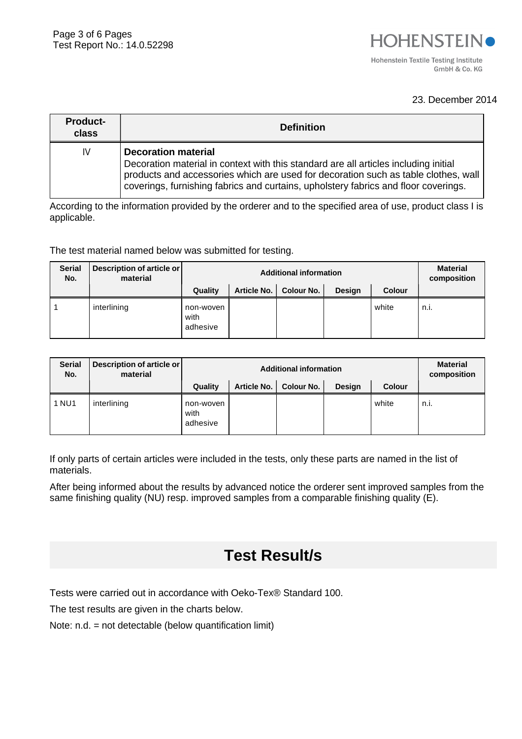#### 23. December 2014

| <b>Product-</b><br>class | <b>Definition</b>                                                                                                                                                                                                                                                                               |
|--------------------------|-------------------------------------------------------------------------------------------------------------------------------------------------------------------------------------------------------------------------------------------------------------------------------------------------|
| IV                       | <b>Decoration material</b><br>Decoration material in context with this standard are all articles including initial<br>products and accessories which are used for decoration such as table clothes, wall<br>coverings, furnishing fabrics and curtains, upholstery fabrics and floor coverings. |

According to the information provided by the orderer and to the specified area of use, product class I is applicable.

The test material named below was submitted for testing.

| <b>Serial</b><br>No. | Description of article or<br>material |                               | <b>Material</b><br>composition |            |               |               |             |
|----------------------|---------------------------------------|-------------------------------|--------------------------------|------------|---------------|---------------|-------------|
|                      |                                       | Quality                       | Article No.                    | Colour No. | <b>Design</b> | <b>Colour</b> |             |
|                      | interlining                           | non-woven<br>with<br>adhesive |                                |            |               | white         | $n_{\cdot}$ |

| <b>Serial</b><br>No. | Description of article or<br>material |                               | <b>Material</b><br>composition |            |        |               |      |
|----------------------|---------------------------------------|-------------------------------|--------------------------------|------------|--------|---------------|------|
|                      |                                       | Quality                       | Article No.                    | Colour No. | Design | <b>Colour</b> |      |
| 1 NU1                | interlining                           | non-woven<br>with<br>adhesive |                                |            |        | white         | n.i. |

If only parts of certain articles were included in the tests, only these parts are named in the list of materials.

After being informed about the results by advanced notice the orderer sent improved samples from the same finishing quality (NU) resp. improved samples from a comparable finishing quality (E).

## **Test Result/s**

Tests were carried out in accordance with Oeko-Tex® Standard 100.

The test results are given in the charts below.

Note: n.d. = not detectable (below quantification limit)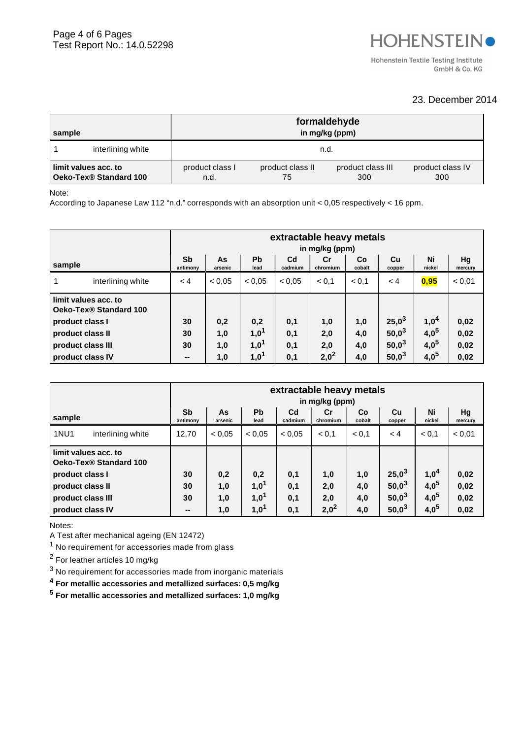GmbH & Co. KG

#### 23. December 2014

| sample                                         | formaldehyde<br>in mg/kg (ppm) |                         |  |  |  |  |
|------------------------------------------------|--------------------------------|-------------------------|--|--|--|--|
| interlining white                              | n.d.                           |                         |  |  |  |  |
| limit values acc. to<br>Oeko-Tex® Standard 100 | product class I<br>n.d.        | product class IV<br>300 |  |  |  |  |

#### Note:

According to Japanese Law 112 "n.d." corresponds with an absorption unit < 0,05 respectively < 16 ppm.

|                   |                                                |                | extractable heavy metals<br>in mg/kg (ppm) |                   |                           |                |              |              |                  |               |
|-------------------|------------------------------------------------|----------------|--------------------------------------------|-------------------|---------------------------|----------------|--------------|--------------|------------------|---------------|
| sample            |                                                | Sb<br>antimony | As<br>arsenic                              | <b>Pb</b><br>lead | C <sub>d</sub><br>cadmium | Cr<br>chromium | Co<br>cobalt | Cu<br>copper | Ni<br>nickel     | Hg<br>mercury |
|                   | interlining white                              | < 4            | < 0.05                                     | < 0.05            | < 0.05                    | < 0.1          | < 0.1        | < 4          | 0,95             | < 0.01        |
|                   | limit values acc. to<br>Oeko-Tex® Standard 100 |                |                                            |                   |                           |                |              |              |                  |               |
| product class I   |                                                | 30             | 0,2                                        | 0,2               | 0,1                       | 1,0            | 1,0          | $25,0^3$     | 1,0 <sup>4</sup> | 0,02          |
| product class II  |                                                | 30             | 1,0                                        | 1,0 <sup>1</sup>  | 0,1                       | 2,0            | 4,0          | $50,0^3$     | 4,0 <sup>5</sup> | 0,02          |
| product class III |                                                | 30             | 1,0                                        | 1,0 <sup>1</sup>  | 0,1                       | 2,0            | 4,0          | $50,0^3$     | 4,0 <sup>5</sup> | 0,02          |
| product class IV  |                                                | --             | 1,0                                        | 1,0 <sup>1</sup>  | 0,1                       | $2,0^2$        | 4,0          | $50,0^3$     | 4,0 <sup>5</sup> | 0,02          |

|                                                |                       | extractable heavy metals<br>in mg/kg (ppm) |                   |                           |                |              |              |                  |               |
|------------------------------------------------|-----------------------|--------------------------------------------|-------------------|---------------------------|----------------|--------------|--------------|------------------|---------------|
| sample                                         | <b>Sb</b><br>antimony | As<br>arsenic                              | <b>Pb</b><br>lead | C <sub>d</sub><br>cadmium | Cr<br>chromium | Co<br>cobalt | Cu<br>copper | Ni<br>nickel     | Hg<br>mercury |
| <b>1NU1</b><br>interlining white               | 12,70                 | < 0.05                                     | < 0.05            | < 0.05                    | < 0.1          | < 0.1        | < 4          | < 0.1            | < 0,01        |
| limit values acc. to<br>Oeko-Tex® Standard 100 |                       |                                            |                   |                           |                |              |              |                  |               |
| product class I                                | 30                    | 0,2                                        | 0,2               | 0,1                       | 1,0            | 1,0          | $25,0^3$     | 1,0 <sup>4</sup> | 0,02          |
| product class II                               | 30                    | 1,0                                        | 1,0 <sup>1</sup>  | 0,1                       | 2,0            | 4,0          | $50,0^3$     | 4,0 <sup>5</sup> | 0,02          |
| product class III                              | 30                    | 1,0                                        | 1,0 <sup>1</sup>  | 0,1                       | 2.0            | 4,0          | $50,0^3$     | 4,0 <sup>5</sup> | 0,02          |
| product class IV                               | $\sim$                | 1,0                                        | 1,0 <sup>1</sup>  | 0,1                       | $2,0^2$        | 4,0          | $50,0^3$     | 4,0 <sup>5</sup> | 0,02          |

Notes:

A Test after mechanical ageing (EN 12472)

 $1$  No requirement for accessories made from glass

 $^2$  For leather articles 10 mg/kg

 $3$  No requirement for accessories made from inorganic materials

**4 For metallic accessories and metallized surfaces: 0,5 mg/kg**

**5 For metallic accessories and metallized surfaces: 1,0 mg/kg**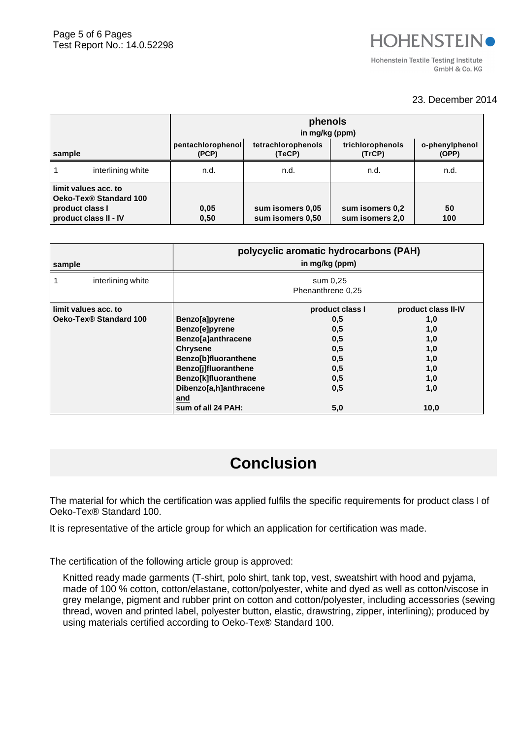### 23. December 2014

|                                                                                            |                   | phenols<br>in mg/kg (ppm)                                                                                  |                                      |                                    |           |  |  |  |
|--------------------------------------------------------------------------------------------|-------------------|------------------------------------------------------------------------------------------------------------|--------------------------------------|------------------------------------|-----------|--|--|--|
| sample                                                                                     |                   | tetrachlorophenols<br>trichlorophenols<br>pentachlorophenol<br>o-phenylphenol<br>(TeCP)<br>(PCP)<br>(TrCP) |                                      |                                    |           |  |  |  |
|                                                                                            | interlining white | n.d.                                                                                                       | n.d.                                 | n.d.                               | n.d.      |  |  |  |
| limit values acc. to<br>Oeko-Tex® Standard 100<br>product class I<br>product class II - IV |                   | 0,05<br>0,50                                                                                               | sum isomers 0,05<br>sum isomers 0,50 | sum isomers 0,2<br>sum isomers 2,0 | 50<br>100 |  |  |  |

| sample                 | polycyclic aromatic hydrocarbons (PAH)<br>in mg/kg (ppm) |                               |                     |  |  |  |  |
|------------------------|----------------------------------------------------------|-------------------------------|---------------------|--|--|--|--|
| interlining white      |                                                          | sum 0,25<br>Phenanthrene 0,25 |                     |  |  |  |  |
| limit values acc. to   |                                                          | product class I               | product class II-IV |  |  |  |  |
| Oeko-Tex® Standard 100 | Benzo[a]pyrene                                           | 0,5                           | 1,0                 |  |  |  |  |
|                        | Benzo[e]pyrene                                           | 0,5                           | 1,0                 |  |  |  |  |
|                        | Benzo[a]anthracene                                       | 0,5                           | 1,0                 |  |  |  |  |
|                        | <b>Chrysene</b>                                          | 0,5                           | 1,0                 |  |  |  |  |
|                        | Benzo[b]fluoranthene                                     | 0,5                           | 1,0                 |  |  |  |  |
|                        | Benzo[j]fluoranthene                                     | 0,5                           | 1,0                 |  |  |  |  |
|                        | Benzo[k]fluoranthene                                     | 0,5                           | 1,0                 |  |  |  |  |
|                        | Dibenzo[a,h]anthracene<br>and                            | 0,5                           | 1,0                 |  |  |  |  |
|                        | sum of all 24 PAH:                                       | 5,0                           | 10,0                |  |  |  |  |

# **Conclusion**

The material for which the certification was applied fulfils the specific requirements for product class I of Oeko-Tex® Standard 100.

It is representative of the article group for which an application for certification was made.

The certification of the following article group is approved:

Knitted ready made garments (T-shirt, polo shirt, tank top, vest, sweatshirt with hood and pyjama, made of 100 % cotton, cotton/elastane, cotton/polyester, white and dyed as well as cotton/viscose in grey melange, pigment and rubber print on cotton and cotton/polyester, including accessories (sewing thread, woven and printed label, polyester button, elastic, drawstring, zipper, interlining); produced by using materials certified according to Oeko-Tex® Standard 100.